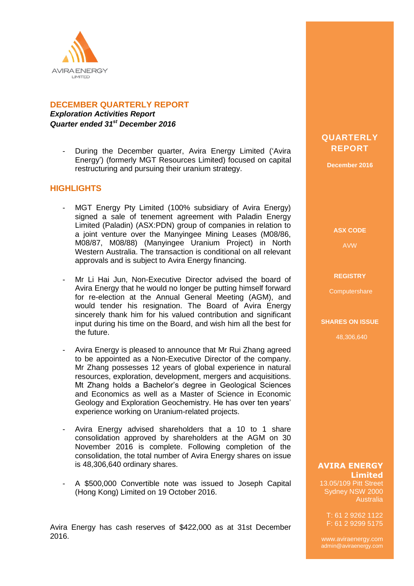

## **DECEMBER QUARTERLY REPORT**

*Exploration Activities Report Quarter ended 31st December 2016*

During the December quarter, Avira Energy Limited ('Avira Energy') (formerly MGT Resources Limited) focused on capital restructuring and pursuing their uranium strategy.

### **HIGHLIGHTS**

- MGT Energy Pty Limited (100% subsidiary of Avira Energy) signed a sale of tenement agreement with Paladin Energy Limited (Paladin) (ASX:PDN) group of companies in relation to a joint venture over the Manyingee Mining Leases (M08/86, M08/87, M08/88) (Manyingee Uranium Project) in North Western Australia. The transaction is conditional on all relevant approvals and is subject to Avira Energy financing.
- Mr Li Hai Jun, Non-Executive Director advised the board of Avira Energy that he would no longer be putting himself forward for re-election at the Annual General Meeting (AGM), and would tender his resignation. The Board of Avira Energy sincerely thank him for his valued contribution and significant input during his time on the Board, and wish him all the best for the future.
- Avira Energy is pleased to announce that Mr Rui Zhang agreed to be appointed as a Non-Executive Director of the company. Mr Zhang possesses 12 years of global experience in natural resources, exploration, development, mergers and acquisitions. Mt Zhang holds a Bachelor's degree in Geological Sciences and Economics as well as a Master of Science in Economic Geology and Exploration Geochemistry. He has over ten years' experience working on Uranium-related projects.
- Avira Energy advised shareholders that a 10 to 1 share consolidation approved by shareholders at the AGM on 30 November 2016 is complete. Following completion of the consolidation, the total number of Avira Energy shares on issue is 48,306,640 ordinary shares.
- A \$500,000 Convertible note was issued to Joseph Capital (Hong Kong) Limited on 19 October 2016.

Avira Energy has cash reserves of \$422,000 as at 31st December 2016.

## **QUARTERLY REPORT**

**December 2016**

**ASX CODE**

AVW

#### **REGISTRY**

**Computershare** 

#### **SHARES ON ISSUE**

48,306,640

#### **AVIRA ENERGY Limited**

13.05/109 Pitt Street Sydney NSW 2000 Australia

T: 61 2 9262 1122 F: 61 2 9299 5175

www.aviraenergy.com admin@aviraenergy.com

ABN: 38 131 715 645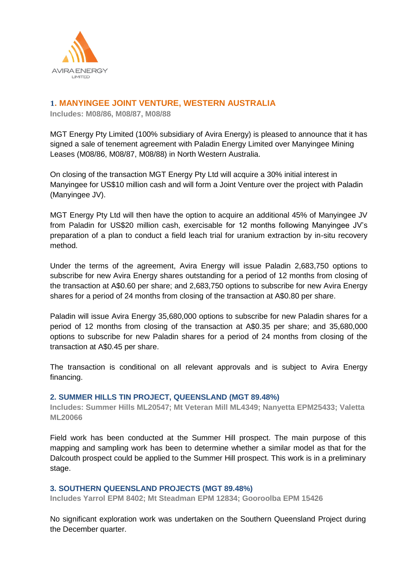

## **1. MANYINGEE JOINT VENTURE, WESTERN AUSTRALIA**

**Includes: M08/86, M08/87, M08/88**

MGT Energy Pty Limited (100% subsidiary of Avira Energy) is pleased to announce that it has signed a sale of tenement agreement with Paladin Energy Limited over Manyingee Mining Leases (M08/86, M08/87, M08/88) in North Western Australia.

On closing of the transaction MGT Energy Pty Ltd will acquire a 30% initial interest in Manyingee for US\$10 million cash and will form a Joint Venture over the project with Paladin (Manyingee JV).

MGT Energy Pty Ltd will then have the option to acquire an additional 45% of Manyingee JV from Paladin for US\$20 million cash, exercisable for 12 months following Manyingee JV's preparation of a plan to conduct a field leach trial for uranium extraction by in-situ recovery method.

Under the terms of the agreement, Avira Energy will issue Paladin 2,683,750 options to subscribe for new Avira Energy shares outstanding for a period of 12 months from closing of the transaction at A\$0.60 per share; and 2,683,750 options to subscribe for new Avira Energy shares for a period of 24 months from closing of the transaction at A\$0.80 per share.

Paladin will issue Avira Energy 35,680,000 options to subscribe for new Paladin shares for a period of 12 months from closing of the transaction at A\$0.35 per share; and 35,680,000 options to subscribe for new Paladin shares for a period of 24 months from closing of the transaction at A\$0.45 per share.

The transaction is conditional on all relevant approvals and is subject to Avira Energy financing.

#### **2. SUMMER HILLS TIN PROJECT, QUEENSLAND (MGT 89.48%)**

**Includes: Summer Hills ML20547; Mt Veteran Mill ML4349; Nanyetta EPM25433; Valetta ML20066**

Field work has been conducted at the Summer Hill prospect. The main purpose of this mapping and sampling work has been to determine whether a similar model as that for the Dalcouth prospect could be applied to the Summer Hill prospect. This work is in a preliminary stage.

#### **3. SOUTHERN QUEENSLAND PROJECTS (MGT 89.48%)**

**Includes Yarrol EPM 8402; Mt Steadman EPM 12834; Gooroolba EPM 15426**

No significant exploration work was undertaken on the Southern Queensland Project during the December quarter.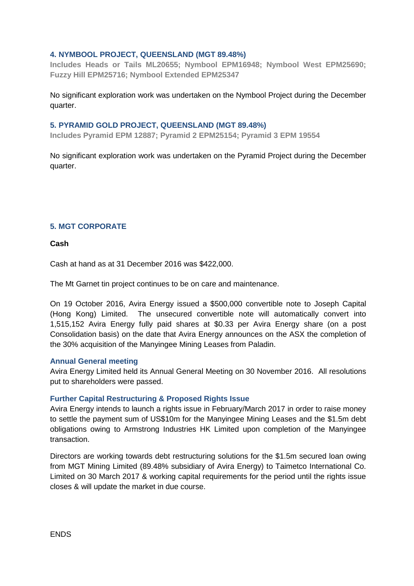#### **4. NYMBOOL PROJECT, QUEENSLAND (MGT 89.48%)**

**Includes Heads or Tails ML20655; Nymbool EPM16948; Nymbool West EPM25690; Fuzzy Hill EPM25716; Nymbool Extended EPM25347**

No significant exploration work was undertaken on the Nymbool Project during the December quarter.

#### **5. PYRAMID GOLD PROJECT, QUEENSLAND (MGT 89.48%)**

**Includes Pyramid EPM 12887; Pyramid 2 EPM25154; Pyramid 3 EPM 19554**

No significant exploration work was undertaken on the Pyramid Project during the December quarter.

#### **5. MGT CORPORATE**

**Cash**

Cash at hand as at 31 December 2016 was \$422,000.

The Mt Garnet tin project continues to be on care and maintenance.

On 19 October 2016, Avira Energy issued a \$500,000 convertible note to Joseph Capital (Hong Kong) Limited. The unsecured convertible note will automatically convert into 1,515,152 Avira Energy fully paid shares at \$0.33 per Avira Energy share (on a post Consolidation basis) on the date that Avira Energy announces on the ASX the completion of the 30% acquisition of the Manyingee Mining Leases from Paladin.

#### **Annual General meeting**

Avira Energy Limited held its Annual General Meeting on 30 November 2016. All resolutions put to shareholders were passed.

#### **Further Capital Restructuring & Proposed Rights Issue**

Avira Energy intends to launch a rights issue in February/March 2017 in order to raise money to settle the payment sum of US\$10m for the Manyingee Mining Leases and the \$1.5m debt obligations owing to Armstrong Industries HK Limited upon completion of the Manyingee transaction.

Directors are working towards debt restructuring solutions for the \$1.5m secured loan owing from MGT Mining Limited (89.48% subsidiary of Avira Energy) to Taimetco International Co. Limited on 30 March 2017 & working capital requirements for the period until the rights issue closes & will update the market in due course.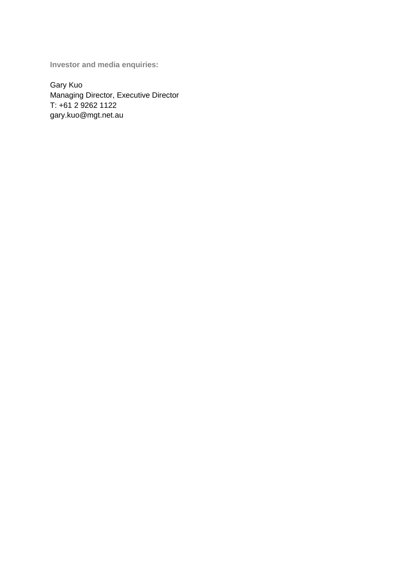**Investor and media enquiries:**

Gary Kuo Managing Director, Executive Director T: +61 2 9262 1122 gary.kuo@mgt.net.au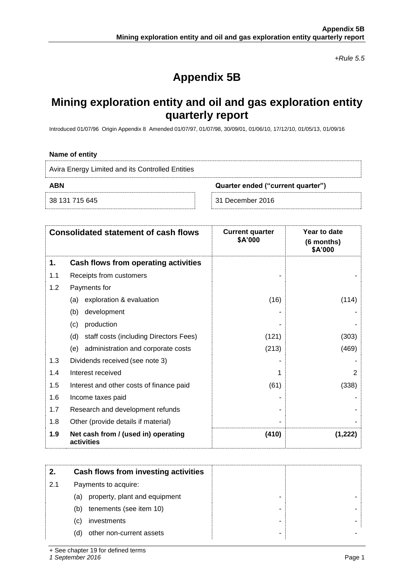*+Rule 5.5*

# **Appendix 5B**

## **Mining exploration entity and oil and gas exploration entity quarterly report**

Introduced 01/07/96 Origin Appendix 8 Amended 01/07/97, 01/07/98, 30/09/01, 01/06/10, 17/12/10, 01/05/13, 01/09/16

#### **Name of entity**

| Avira Energy Limited and its Controlled Entities |                                   |
|--------------------------------------------------|-----------------------------------|
| ABN                                              | Quarter ended ("current quarter") |
| 38 131 715 645                                   | -31 December 2016                 |

| <b>Consolidated statement of cash flows</b> |                                                   | <b>Current quarter</b><br>\$A'000 | Year to date<br>(6 months)<br>\$A'000 |
|---------------------------------------------|---------------------------------------------------|-----------------------------------|---------------------------------------|
| 1.                                          | Cash flows from operating activities              |                                   |                                       |
| 1.1                                         | Receipts from customers                           |                                   |                                       |
| 1.2                                         | Payments for                                      |                                   |                                       |
|                                             | exploration & evaluation<br>(a)                   | (16)                              | (114)                                 |
|                                             | (b)<br>development                                |                                   |                                       |
|                                             | production<br>(c)                                 |                                   |                                       |
|                                             | staff costs (including Directors Fees)<br>(d)     | (121)                             | (303)                                 |
|                                             | (e) administration and corporate costs            | (213)                             | (469)                                 |
| 1.3                                         | Dividends received (see note 3)                   |                                   |                                       |
| 1.4                                         | Interest received                                 |                                   | $\mathfrak{p}$                        |
| 1.5                                         | Interest and other costs of finance paid          | (61)                              | (338)                                 |
| 1.6                                         | Income taxes paid                                 |                                   |                                       |
| 1.7                                         | Research and development refunds                  |                                   |                                       |
| 1.8                                         | Other (provide details if material)               |                                   |                                       |
| 1.9                                         | Net cash from / (used in) operating<br>activities | (410)                             | (1,222)                               |

|     | Cash flows from investing activities |   |  |
|-----|--------------------------------------|---|--|
| 2.1 | Payments to acquire:                 |   |  |
|     | property, plant and equipment<br>(a) | - |  |
|     | tenements (see item 10)<br>(b)       |   |  |
|     | investments<br>(C)                   |   |  |
|     | other non-current assets<br>(d)      |   |  |

+ See chapter 19 for defined terms

*1 September 2016* Page 1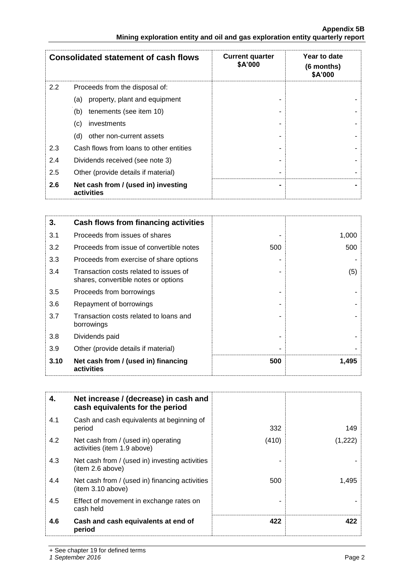| <b>Consolidated statement of cash flows</b> |                                                   | <b>Current quarter</b><br>\$A'000 | Year to date<br>$(6$ months)<br>\$A'000 |
|---------------------------------------------|---------------------------------------------------|-----------------------------------|-----------------------------------------|
| 2.2                                         | Proceeds from the disposal of:                    |                                   |                                         |
|                                             | property, plant and equipment<br>(a)              |                                   |                                         |
|                                             | tenements (see item 10)<br>(b)                    |                                   |                                         |
|                                             | investments<br>(c)                                |                                   |                                         |
|                                             | other non-current assets<br>(d)                   |                                   |                                         |
| 2.3                                         | Cash flows from loans to other entities           |                                   |                                         |
| 2.4                                         | Dividends received (see note 3)                   |                                   |                                         |
| 2.5                                         | Other (provide details if material)               |                                   |                                         |
| 2.6                                         | Net cash from / (used in) investing<br>activities |                                   |                                         |

| 3.   | Cash flows from financing activities                                           |     |       |
|------|--------------------------------------------------------------------------------|-----|-------|
| 3.1  | Proceeds from issues of shares                                                 |     | 1,000 |
| 3.2  | Proceeds from issue of convertible notes                                       | 500 | 500   |
| 3.3  | Proceeds from exercise of share options                                        |     |       |
| 3.4  | Transaction costs related to issues of<br>shares, convertible notes or options |     | (5)   |
| 3.5  | Proceeds from borrowings                                                       |     |       |
| 3.6  | Repayment of borrowings                                                        |     |       |
| 3.7  | Transaction costs related to loans and<br>borrowings                           |     |       |
| 3.8  | Dividends paid                                                                 |     |       |
| 3.9  | Other (provide details if material)                                            |     |       |
| 3.10 | Net cash from / (used in) financing<br>activities                              | 500 | 1,495 |

| 4.  | Net increase / (decrease) in cash and<br>cash equivalents for the period |       |         |
|-----|--------------------------------------------------------------------------|-------|---------|
| 4.1 | Cash and cash equivalents at beginning of<br>period                      | 332   | 149     |
| 4.2 | Net cash from / (used in) operating<br>activities (item 1.9 above)       | (410) | (1,222) |
| 4.3 | Net cash from / (used in) investing activities<br>(item 2.6 above)       |       |         |
| 4.4 | Net cash from / (used in) financing activities<br>(item 3.10 above)      | 500   | 1,495   |
| 4.5 | Effect of movement in exchange rates on<br>cash held                     |       |         |
| 4.6 | Cash and cash equivalents at end of<br>period                            | 422   | 422     |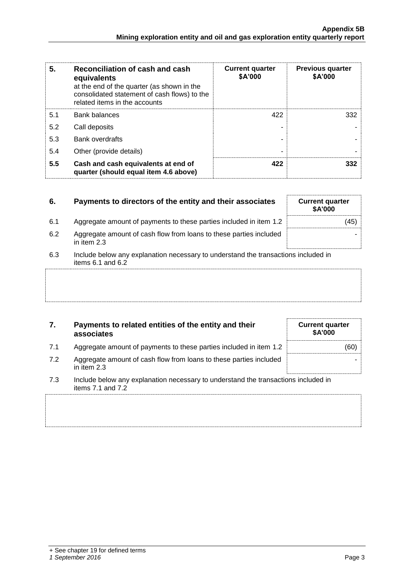| 5.  | Reconciliation of cash and cash<br>equivalents<br>at the end of the quarter (as shown in the<br>consolidated statement of cash flows) to the<br>related items in the accounts | <b>Current quarter</b><br>\$A'000 | <b>Previous quarter</b><br>\$A'000 |
|-----|-------------------------------------------------------------------------------------------------------------------------------------------------------------------------------|-----------------------------------|------------------------------------|
| 5.1 | <b>Bank balances</b>                                                                                                                                                          | 422                               | 332                                |
| 5.2 | Call deposits                                                                                                                                                                 |                                   |                                    |
| 5.3 | <b>Bank overdrafts</b>                                                                                                                                                        |                                   |                                    |
| 5.4 | Other (provide details)                                                                                                                                                       | -                                 |                                    |
| 5.5 | Cash and cash equivalents at end of<br>quarter (should equal item 4.6 above)                                                                                                  | 422                               | 332                                |

| 6.  | Payments to directors of the entity and their associates                                                    | <b>Current quarter</b><br><b>\$A'000</b> |
|-----|-------------------------------------------------------------------------------------------------------------|------------------------------------------|
| 6.1 | Aggregate amount of payments to these parties included in item 1.2                                          | 45)                                      |
| 6.2 | Aggregate amount of cash flow from loans to these parties included<br>in item 2.3                           |                                          |
| 6.3 | Include below any explanation necessary to understand the transactions included in<br>items $6.1$ and $6.2$ |                                          |
|     |                                                                                                             |                                          |
|     |                                                                                                             |                                          |

| 7. | Payments to related entities of the entity and their |
|----|------------------------------------------------------|
|    | associates                                           |

- 7.1 Aggregate amount of payments to these parties included in item 1.2 (60)
- 7.2 Aggregate amount of cash flow from loans to these parties included in item 2.3
- 7.3 Include below any explanation necessary to understand the transactions included in items 7.1 and 7.2

**Current quarter \$A'000**

-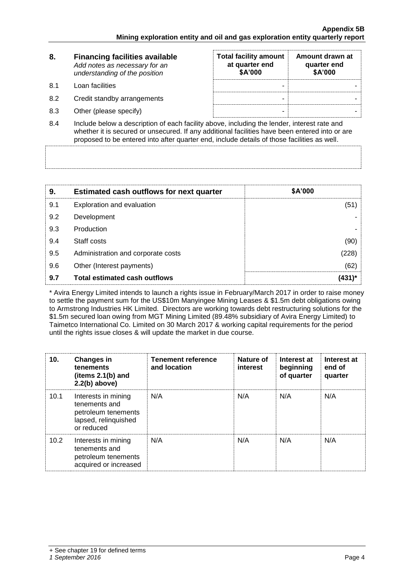| 8.   | <b>Financing facilities available</b><br>Add notes as necessary for an<br>understanding of the position | <b>Total facility amount</b><br>at quarter end<br>\$A'000 | Amount drawn at<br>quarter end<br>\$A'000 |
|------|---------------------------------------------------------------------------------------------------------|-----------------------------------------------------------|-------------------------------------------|
| .8.1 | Loan facilities                                                                                         | -                                                         |                                           |
| 8.2  | Credit standby arrangements                                                                             | -                                                         |                                           |
| 8.3  | Other (please specify)                                                                                  | -                                                         |                                           |

8.4 Include below a description of each facility above, including the lender, interest rate and whether it is secured or unsecured. If any additional facilities have been entered into or are proposed to be entered into after quarter end, include details of those facilities as well.

| 9.  | <b>Estimated cash outflows for next quarter</b> | <b>\$A'000</b> |
|-----|-------------------------------------------------|----------------|
| 9.1 | Exploration and evaluation                      | (51)           |
| 9.2 | Development                                     |                |
| 9.3 | Production                                      |                |
| 9.4 | Staff costs                                     | (90)           |
| 9.5 | Administration and corporate costs              | (228)          |
| 9.6 | Other (Interest payments)                       | (62)           |
| 9.7 | <b>Total estimated cash outflows</b>            | (431)*         |

\* Avira Energy Limited intends to launch a rights issue in February/March 2017 in order to raise money to settle the payment sum for the US\$10m Manyingee Mining Leases & \$1.5m debt obligations owing to Armstrong Industries HK Limited. Directors are working towards debt restructuring solutions for the \$1.5m secured loan owing from MGT Mining Limited (89.48% subsidiary of Avira Energy Limited) to Taimetco International Co. Limited on 30 March 2017 & working capital requirements for the period until the rights issue closes & will update the market in due course.

| 10.  | <b>Changes in</b><br>tenements<br>(items 2.1(b) and<br>$2.2(b)$ above)                            | <b>Tenement reference</b><br>and location | Nature of<br><b>interest</b> | Interest at<br>beginning<br>of quarter | Interest at<br>end of<br>quarter |
|------|---------------------------------------------------------------------------------------------------|-------------------------------------------|------------------------------|----------------------------------------|----------------------------------|
| 10.1 | Interests in mining<br>tenements and<br>petroleum tenements<br>lapsed, relinquished<br>or reduced | N/A                                       | N/A                          | N/A                                    | N/A                              |
| 10.2 | Interests in mining<br>tenements and<br>petroleum tenements<br>acquired or increased              | N/A                                       | N/A                          | N/A                                    | N/A                              |